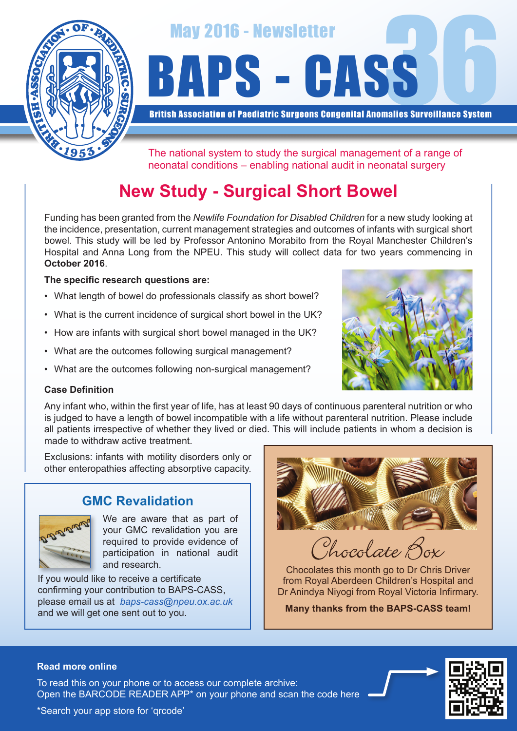

May 2016 - Newsletter<br>**BAPS - CASS** 

British Association of Paediatric Surgeons Congenital Anomalies Surveillance System

The national system to study the surgical management of a range of neonatal conditions – enabling national audit in neonatal surgery

# **New Study - Surgical Short Bowel**

Funding has been granted from the *Newlife Foundation for Disabled Children* for a new study looking at the incidence, presentation, current management strategies and outcomes of infants with surgical short bowel. This study will be led by Professor Antonino Morabito from the Royal Manchester Children's Hospital and Anna Long from the NPEU. This study will collect data for two years commencing in **October 2016**.

## **The specific research questions are:**

- What length of bowel do professionals classify as short bowel?
- What is the current incidence of surgical short bowel in the UK?
- How are infants with surgical short bowel managed in the UK?
- What are the outcomes following surgical management?
- What are the outcomes following non-surgical management?

### **Case Definition**

Any infant who, within the first year of life, has at least 90 days of continuous parenteral nutrition or who is judged to have a length of bowel incompatible with a life without parenteral nutrition. Please include all patients irrespective of whether they lived or died. This will include patients in whom a decision is made to withdraw active treatment.

Exclusions: infants with motility disorders only or other enteropathies affecting absorptive capacity.

## **GMC Revalidation**



We are aware that as part of your GMC revalidation you are required to provide evidence of participation in national audit and research.

If you would like to receive a certificate confirming your contribution to BAPS-CASS, please email us at *baps-cass@npeu.ox.ac.uk* and we will get one sent out to you.



Chocolate Box

Chocolates this month go to Dr Chris Driver from Royal Aberdeen Children's Hospital and Dr Anindya Niyogi from Royal Victoria Infirmary.

**Many thanks from the BAPS-CASS team!**

### **Read more online**

Open the BARCODE READER APP\* on your phone and scan the code here To read this on your phone or to access our complete archive: